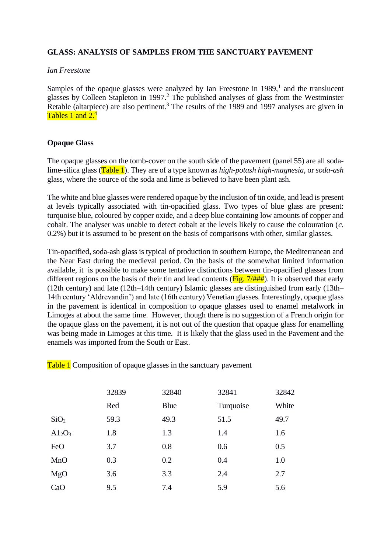## **GLASS: ANALYSIS OF SAMPLES FROM THE SANCTUARY PAVEMENT**

## *Ian Freestone*

Samples of the opaque glasses were analyzed by Ian Freestone in  $1989$ ,<sup>1</sup> and the translucent glasses by Colleen Stapleton in 1997.<sup>2</sup> The published analyses of glass from the Westminster Retable (altarpiece) are also pertinent.<sup>3</sup> The results of the 1989 and 1997 analyses are given in Tables 1 and  $2<sup>4</sup>$ 

## **Opaque Glass**

The opaque glasses on the tomb-cover on the south side of the pavement (panel 55) are all sodalime-silica glass (Table 1). They are of a type known as *high-potash high-magnesia*, or *soda-ash* glass, where the source of the soda and lime is believed to have been plant ash.

The white and blue glasses were rendered opaque by the inclusion of tin oxide, and lead is present at levels typically associated with tin-opacified glass. Two types of blue glass are present: turquoise blue, coloured by copper oxide, and a deep blue containing low amounts of copper and cobalt. The analyser was unable to detect cobalt at the levels likely to cause the colouration (*c*. 0.2%) but it is assumed to be present on the basis of comparisons with other, similar glasses.

Tin-opacified, soda-ash glass is typical of production in southern Europe, the Mediterranean and the Near East during the medieval period. On the basis of the somewhat limited information available, it is possible to make some tentative distinctions between tin-opacified glasses from different regions on the basis of their tin and lead contents ( $\overline{Fig. 7/#HH}$ ). It is observed that early (12th century) and late (12th–14th century) Islamic glasses are distinguished from early (13th– 14th century 'Aldrevandin') and late (16th century) Venetian glasses. Interestingly, opaque glass in the pavement is identical in composition to opaque glasses used to enamel metalwork in Limoges at about the same time. However, though there is no suggestion of a French origin for the opaque glass on the pavement, it is not out of the question that opaque glass for enamelling was being made in Limoges at this time. It is likely that the glass used in the Pavement and the enamels was imported from the South or East.

Table 1 Composition of opaque glasses in the sanctuary pavement

|                  | 32839 | 32840 | 32841     | 32842 |
|------------------|-------|-------|-----------|-------|
|                  | Red   | Blue  | Turquoise | White |
| SiO <sub>2</sub> | 59.3  | 49.3  | 51.5      | 49.7  |
| $A1_2O_3$        | 1.8   | 1.3   | 1.4       | 1.6   |
| FeO              | 3.7   | 0.8   | 0.6       | 0.5   |
| MnO              | 0.3   | 0.2   | 0.4       | 1.0   |
| MgO              | 3.6   | 3.3   | 2.4       | 2.7   |
| CaO              | 9.5   | 7.4   | 5.9       | 5.6   |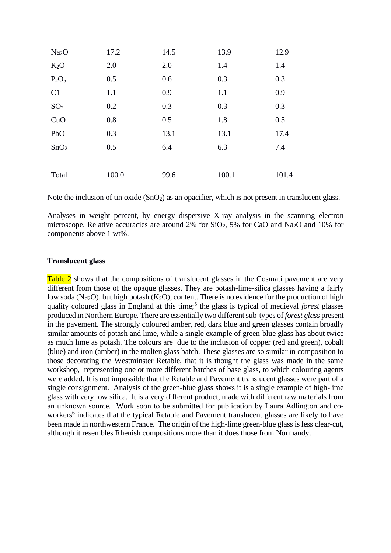| Na <sub>2</sub> O | 17.2  | 14.5 | 13.9  | 12.9  |
|-------------------|-------|------|-------|-------|
| $K_2O$            | 2.0   | 2.0  | 1.4   | 1.4   |
| $P_2O_5$          | 0.5   | 0.6  | 0.3   | 0.3   |
| C1                | 1.1   | 0.9  | 1.1   | 0.9   |
| SO <sub>2</sub>   | 0.2   | 0.3  | 0.3   | 0.3   |
| CuO               | 0.8   | 0.5  | 1.8   | 0.5   |
| PbO               | 0.3   | 13.1 | 13.1  | 17.4  |
| SnO <sub>2</sub>  | 0.5   | 6.4  | 6.3   | 7.4   |
|                   |       |      |       |       |
| Total             | 100.0 | 99.6 | 100.1 | 101.4 |

Note the inclusion of tin oxide  $(SnO<sub>2</sub>)$  as an opacifier, which is not present in translucent glass.

Analyses in weight percent, by energy dispersive X-ray analysis in the scanning electron microscope. Relative accuracies are around 2% for SiO2, 5% for CaO and Na2O and 10% for components above 1 wt%.

## **Translucent glass**

Table 2 shows that the compositions of translucent glasses in the Cosmati pavement are very different from those of the opaque glasses. They are potash-lime-silica glasses having a fairly low soda (Na<sub>2</sub>O), but high potash (K<sub>2</sub>O), content. There is no evidence for the production of high quality coloured glass in England at this time;<sup>5</sup> the glass is typical of medieval *forest* glasses produced in Northern Europe. There are essentially two different sub-types of *forest glass* present in the pavement. The strongly coloured amber, red, dark blue and green glasses contain broadly similar amounts of potash and lime, while a single example of green-blue glass has about twice as much lime as potash. The colours are due to the inclusion of copper (red and green), cobalt (blue) and iron (amber) in the molten glass batch. These glasses are so similar in composition to those decorating the Westminster Retable, that it is thought the glass was made in the same workshop, representing one or more different batches of base glass, to which colouring agents were added. It is not impossible that the Retable and Pavement translucent glasses were part of a single consignment. Analysis of the green-blue glass shows it is a single example of high-lime glass with very low silica. It is a very different product, made with different raw materials from an unknown source. Work soon to be submitted for publication by Laura Adlington and coworkers<sup>6</sup> indicates that the typical Retable and Pavement translucent glasses are likely to have been made in northwestern France. The origin of the high-lime green-blue glass is less clear-cut, although it resembles Rhenish compositions more than it does those from Normandy.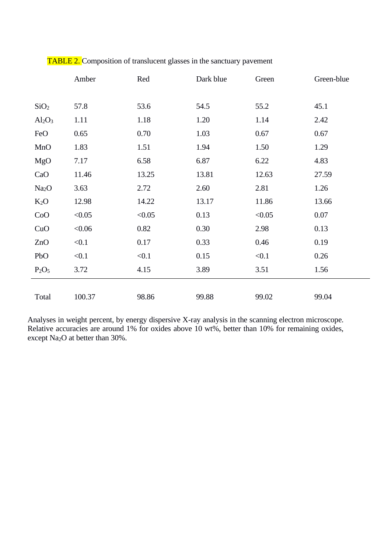|                   | Amber  | Red    | Dark blue | Green  | Green-blue |
|-------------------|--------|--------|-----------|--------|------------|
|                   |        |        |           |        |            |
| SiO <sub>2</sub>  | 57.8   | 53.6   | 54.5      | 55.2   | 45.1       |
| $Al_2O_3$         | 1.11   | 1.18   | 1.20      | 1.14   | 2.42       |
| FeO               | 0.65   | 0.70   | 1.03      | 0.67   | 0.67       |
| MnO               | 1.83   | 1.51   | 1.94      | 1.50   | 1.29       |
| MgO               | 7.17   | 6.58   | 6.87      | 6.22   | 4.83       |
| CaO               | 11.46  | 13.25  | 13.81     | 12.63  | 27.59      |
| Na <sub>2</sub> O | 3.63   | 2.72   | 2.60      | 2.81   | 1.26       |
| $K_2O$            | 12.98  | 14.22  | 13.17     | 11.86  | 13.66      |
| CoO               | < 0.05 | < 0.05 | 0.13      | < 0.05 | 0.07       |
| CuO               | < 0.06 | 0.82   | 0.30      | 2.98   | 0.13       |
| ZnO               | < 0.1  | 0.17   | 0.33      | 0.46   | 0.19       |
| PbO               | < 0.1  | < 0.1  | 0.15      | < 0.1  | 0.26       |
| $P_2O_5$          | 3.72   | 4.15   | 3.89      | 3.51   | 1.56       |
|                   |        |        |           |        |            |
| Total             | 100.37 | 98.86  | 99.88     | 99.02  | 99.04      |

TABLE 2. Composition of translucent glasses in the sanctuary pavement

Analyses in weight percent, by energy dispersive X-ray analysis in the scanning electron microscope. Relative accuracies are around 1% for oxides above 10 wt%, better than 10% for remaining oxides, except Na2O at better than 30%.